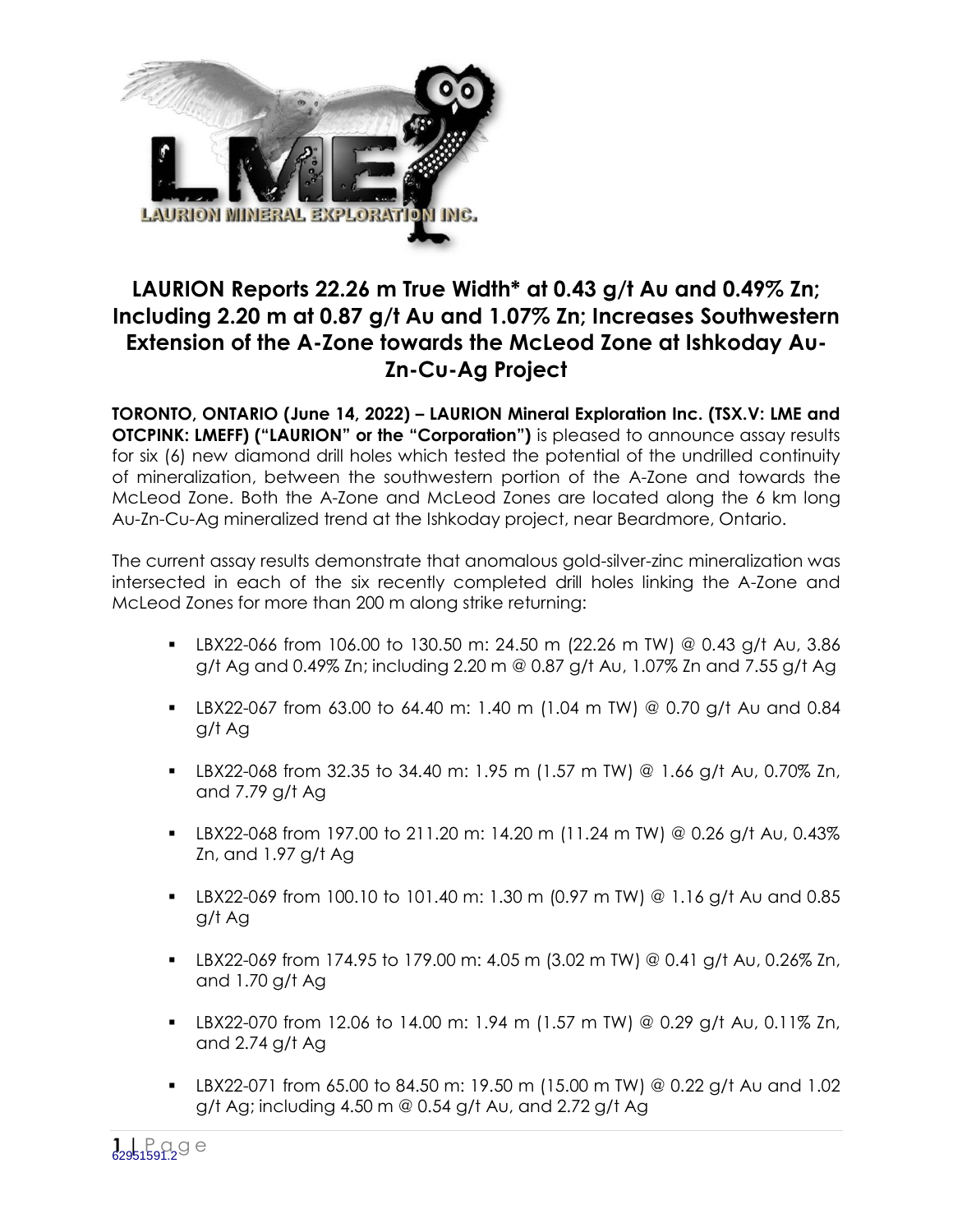

# **LAURION Reports 22.26 m True Width\* at 0.43 g/t Au and 0.49% Zn; Including 2.20 m at 0.87 g/t Au and 1.07% Zn; Increases Southwestern Extension of the A-Zone towards the McLeod Zone at Ishkoday Au-Zn-Cu-Ag Project**

**TORONTO, ONTARIO (June 14, 2022) – LAURION Mineral Exploration Inc. (TSX.V: LME and OTCPINK: LMEFF) ("LAURION" or the "Corporation")** is pleased to announce assay results for six (6) new diamond drill holes which tested the potential of the undrilled continuity of mineralization, between the southwestern portion of the A-Zone and towards the McLeod Zone. Both the A-Zone and McLeod Zones are located along the 6 km long Au-Zn-Cu-Ag mineralized trend at the Ishkoday project, near Beardmore, Ontario.

The current assay results demonstrate that anomalous gold-silver-zinc mineralization was intersected in each of the six recently completed drill holes linking the A-Zone and McLeod Zones for more than 200 m along strike returning:

- **LBX22-066 from 106.00 to 130.50 m: 24.50 m (22.26 m TW) @ 0.43 g/t Au, 3.86** g/t Ag and 0.49% Zn; including 2.20 m @ 0.87 g/t Au, 1.07% Zn and 7.55 g/t Ag
- LBX22-067 from 63.00 to 64.40 m: 1.40 m (1.04 m TW) @ 0.70 g/t Au and 0.84 g/t Ag
- **LBX22-068 from 32.35 to 34.40 m: 1.95 m (1.57 m TW) @ 1.66 g/t Au, 0.70% Zn,** and 7.79 g/t Ag
- **LBX22-068 from 197.00 to 211.20 m: 14.20 m (11.24 m TW) @ 0.26 g/t Au, 0.43%** Zn, and 1.97 g/t Ag
- **LBX22-069 from 100.10 to 101.40 m: 1.30 m (0.97 m TW) @ 1.16 g/t Au and 0.85** g/t Ag
- **LBX22-069 from 174.95 to 179.00 m: 4.05 m (3.02 m TW) @ 0.41 g/t Au, 0.26% Zn,** and 1.70 g/t Ag
- **EX22-070 from 12.06 to 14.00 m: 1.94 m (1.57 m TW) @ 0.29 g/t Au, 0.11% Zn,** and 2.74 g/t Ag
- LBX22-071 from 65.00 to 84.50 m: 19.50 m (15.00 m TW) @ 0.22 g/t Au and 1.02 g/t Ag; including 4.50 m @ 0.54 g/t Au, and 2.72 g/t Ag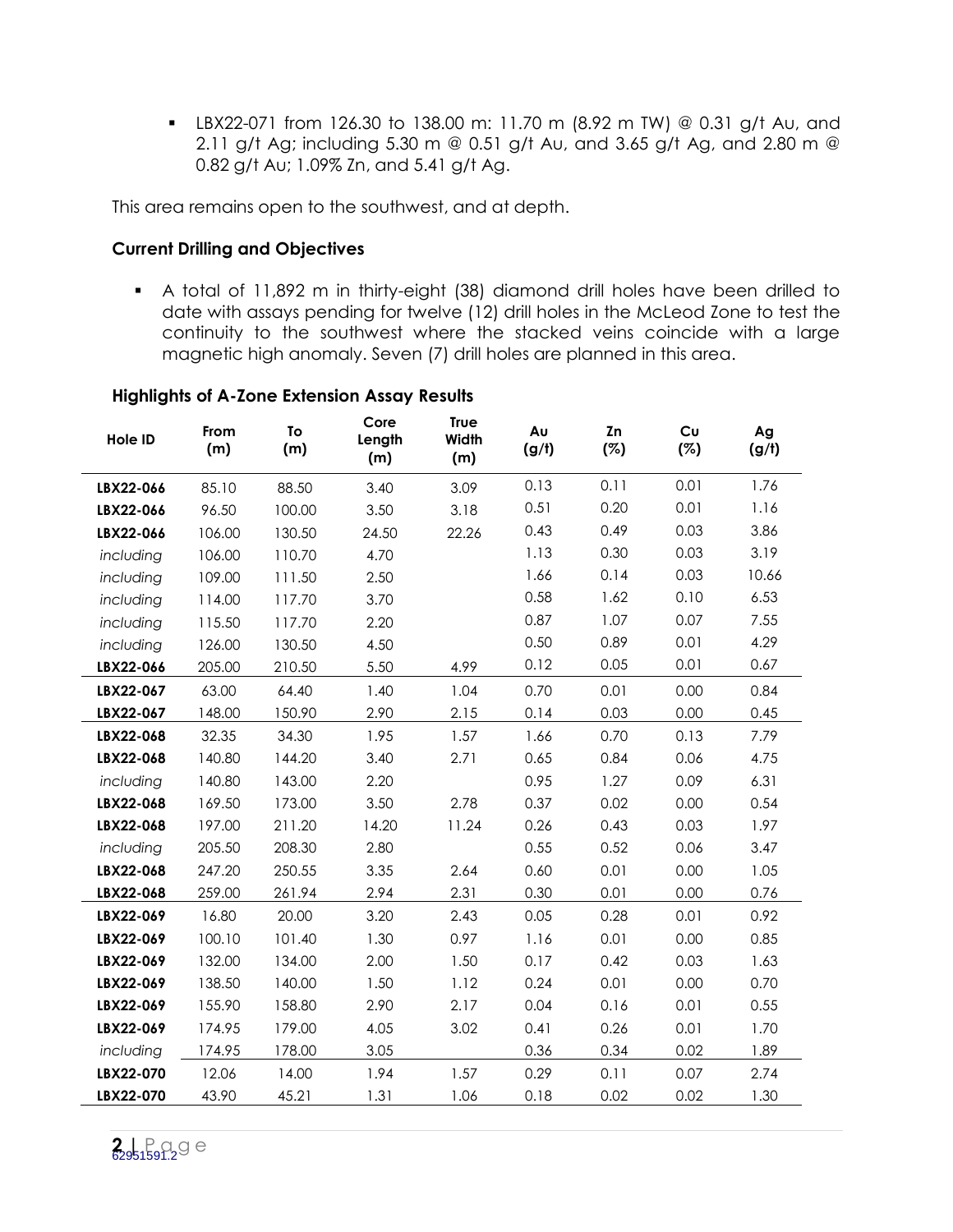LBX22-071 from 126.30 to 138.00 m: 11.70 m (8.92 m TW) @ 0.31 g/t Au, and 2.11 g/t Ag; including 5.30 m @ 0.51 g/t Au, and 3.65 g/t Ag, and 2.80 m @ 0.82 g/t Au; 1.09% Zn, and 5.41 g/t Ag.

This area remains open to the southwest, and at depth.

# **Current Drilling and Objectives**

 A total of 11,892 m in thirty-eight (38) diamond drill holes have been drilled to date with assays pending for twelve (12) drill holes in the McLeod Zone to test the continuity to the southwest where the stacked veins coincide with a large magnetic high anomaly. Seven (7) drill holes are planned in this area.

| Hole ID   | From<br>(m) | To<br>(m) | Core<br>Length<br>(m) | <b>True</b><br><b>Width</b><br>(m) | Au<br>(g/t) | Zn<br>(%) | Cu<br>(%) | Ag<br>(g/t) |
|-----------|-------------|-----------|-----------------------|------------------------------------|-------------|-----------|-----------|-------------|
| LBX22-066 | 85.10       | 88.50     | 3.40                  | 3.09                               | 0.13        | 0.11      | 0.01      | 1.76        |
| LBX22-066 | 96.50       | 100.00    | 3.50                  | 3.18                               | 0.51        | 0.20      | 0.01      | 1.16        |
| LBX22-066 | 106.00      | 130.50    | 24.50                 | 22.26                              | 0.43        | 0.49      | 0.03      | 3.86        |
| including | 106.00      | 110.70    | 4.70                  |                                    | 1.13        | 0.30      | 0.03      | 3.19        |
| including | 109.00      | 111.50    | 2.50                  |                                    | 1.66        | 0.14      | 0.03      | 10.66       |
| including | 114.00      | 117.70    | 3.70                  |                                    | 0.58        | 1.62      | 0.10      | 6.53        |
| including | 115.50      | 117.70    | 2.20                  |                                    | 0.87        | 1.07      | 0.07      | 7.55        |
| including | 126.00      | 130.50    | 4.50                  |                                    | 0.50        | 0.89      | 0.01      | 4.29        |
| LBX22-066 | 205.00      | 210.50    | 5.50                  | 4.99                               | 0.12        | 0.05      | 0.01      | 0.67        |
| LBX22-067 | 63.00       | 64.40     | 1.40                  | 1.04                               | 0.70        | 0.01      | 0.00      | 0.84        |
| LBX22-067 | 148.00      | 150.90    | 2.90                  | 2.15                               | 0.14        | 0.03      | 0.00      | 0.45        |
| LBX22-068 | 32.35       | 34.30     | 1.95                  | 1.57                               | 1.66        | 0.70      | 0.13      | 7.79        |
| LBX22-068 | 140.80      | 144.20    | 3.40                  | 2.71                               | 0.65        | 0.84      | 0.06      | 4.75        |
| including | 140.80      | 143.00    | 2.20                  |                                    | 0.95        | 1.27      | 0.09      | 6.31        |
| LBX22-068 | 169.50      | 173.00    | 3.50                  | 2.78                               | 0.37        | 0.02      | 0.00      | 0.54        |
| LBX22-068 | 197.00      | 211.20    | 14.20                 | 11.24                              | 0.26        | 0.43      | 0.03      | 1.97        |
| including | 205.50      | 208.30    | 2.80                  |                                    | 0.55        | 0.52      | 0.06      | 3.47        |
| LBX22-068 | 247.20      | 250.55    | 3.35                  | 2.64                               | 0.60        | 0.01      | 0.00      | 1.05        |
| LBX22-068 | 259.00      | 261.94    | 2.94                  | 2.31                               | 0.30        | 0.01      | 0.00      | 0.76        |
| LBX22-069 | 16.80       | 20.00     | 3.20                  | 2.43                               | 0.05        | 0.28      | 0.01      | 0.92        |
| LBX22-069 | 100.10      | 101.40    | 1.30                  | 0.97                               | 1.16        | 0.01      | 0.00      | 0.85        |
| LBX22-069 | 132.00      | 134.00    | 2.00                  | 1.50                               | 0.17        | 0.42      | 0.03      | 1.63        |
| LBX22-069 | 138.50      | 140.00    | 1.50                  | 1.12                               | 0.24        | 0.01      | 0.00      | 0.70        |
| LBX22-069 | 155.90      | 158.80    | 2.90                  | 2.17                               | 0.04        | 0.16      | 0.01      | 0.55        |
| LBX22-069 | 174.95      | 179.00    | 4.05                  | 3.02                               | 0.41        | 0.26      | 0.01      | 1.70        |
| including | 174.95      | 178.00    | 3.05                  |                                    | 0.36        | 0.34      | 0.02      | 1.89        |
| LBX22-070 | 12.06       | 14.00     | 1.94                  | 1.57                               | 0.29        | 0.11      | 0.07      | 2.74        |
| LBX22-070 | 43.90       | 45.21     | 1.31                  | 1.06                               | 0.18        | 0.02      | 0.02      | 1.30        |

## **Highlights of A-Zone Extension Assay Results**

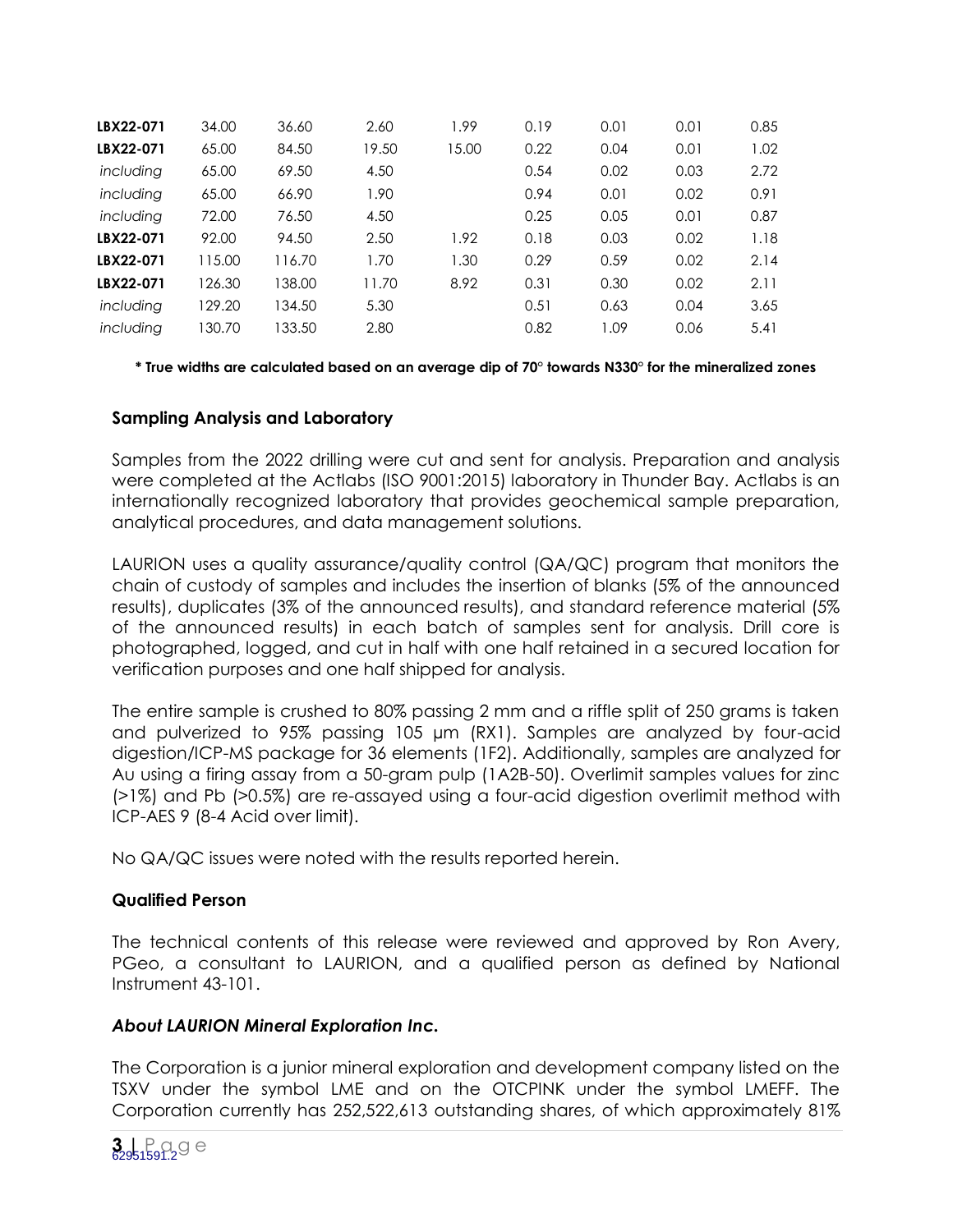| LBX22-071 | 34.00  | 36.60  | 2.60  | 1.99  | 0.19 | 0.01 | 0.01 | 0.85 |
|-----------|--------|--------|-------|-------|------|------|------|------|
| LBX22-071 | 65.00  | 84.50  | 19.50 | 15.00 | 0.22 | 0.04 | 0.01 | 1.02 |
| including | 65.00  | 69.50  | 4.50  |       | 0.54 | 0.02 | 0.03 | 2.72 |
| including | 65.00  | 66.90  | 1.90  |       | 0.94 | 0.01 | 0.02 | 0.91 |
| including | 72.00  | 76.50  | 4.50  |       | 0.25 | 0.05 | 0.01 | 0.87 |
| LBX22-071 | 92.00  | 94.50  | 2.50  | 1.92  | 0.18 | 0.03 | 0.02 | 1.18 |
| LBX22-071 | 115.00 | 116.70 | 1.70  | 1.30  | 0.29 | 0.59 | 0.02 | 2.14 |
| LBX22-071 | 126.30 | 138.00 | 11.70 | 8.92  | 0.31 | 0.30 | 0.02 | 2.11 |
| including | 129.20 | 134.50 | 5.30  |       | 0.51 | 0.63 | 0.04 | 3.65 |
| including | 30.70  | 133.50 | 2.80  |       | 0.82 | 1.09 | 0.06 | 5.41 |

**\* True widths are calculated based on an average dip of 70° towards N330° for the mineralized zones**

## **Sampling Analysis and Laboratory**

Samples from the 2022 drilling were cut and sent for analysis. Preparation and analysis were completed at the Actlabs (ISO 9001:2015) laboratory in Thunder Bay. Actlabs is an internationally recognized laboratory that provides geochemical sample preparation, analytical procedures, and data management solutions.

LAURION uses a quality assurance/quality control (QA/QC) program that monitors the chain of custody of samples and includes the insertion of blanks (5% of the announced results), duplicates (3% of the announced results), and standard reference material (5% of the announced results) in each batch of samples sent for analysis. Drill core is photographed, logged, and cut in half with one half retained in a secured location for verification purposes and one half shipped for analysis.

The entire sample is crushed to 80% passing 2 mm and a riffle split of 250 grams is taken and pulverized to 95% passing 105 µm (RX1). Samples are analyzed by four-acid digestion/ICP-MS package for 36 elements (1F2). Additionally, samples are analyzed for Au using a firing assay from a 50-gram pulp (1A2B-50). Overlimit samples values for zinc (>1%) and Pb (>0.5%) are re-assayed using a four-acid digestion overlimit method with ICP-AES 9 (8-4 Acid over limit).

No QA/QC issues were noted with the results reported herein.

#### **Qualified Person**

The technical contents of this release were reviewed and approved by Ron Avery, PGeo, a consultant to LAURION, and a qualified person as defined by National Instrument 43-101.

# *About LAURION Mineral Exploration Inc.*

The Corporation is a junior mineral exploration and development company listed on the TSXV under the symbol LME and on the OTCPINK under the symbol LMEFF. The Corporation currently has 252,522,613 outstanding shares, of which approximately 81%